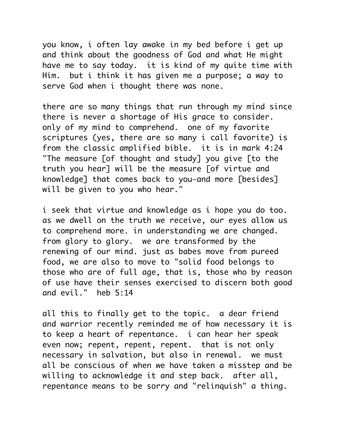you know, i often lay awake in my bed before i get up and think about the goodness of God and what He might have me to say today. it is kind of my quite time with Him. but i think it has given me a purpose; a way to serve God when i thought there was none.

there are so many things that run through my mind since there is never a shortage of His grace to consider. only of my mind to comprehend. one of my favorite scriptures (yes, there are so many i call favorite) is from the classic amplified bible. it is in mark 4:24 "The measure [of thought and study] you give [to the truth you hear] will be the measure [of virtue and knowledge] that comes back to you—and more [besides] will be given to you who hear."

i seek that virtue and knowledge as i hope you do too. as we dwell on the truth we receive, our eyes allow us to comprehend more. in understanding we are changed. from glory to glory. we are transformed by the renewing of our mind. just as babes move from pureed food, we are also to move to "solid food belongs to those who are of full age, that is, those who by reason of use have their senses exercised to discern both good and evil." heb 5:14

all this to finally get to the topic. a dear friend and warrior recently reminded me of how necessary it is to keep a heart of repentance. i can hear her speak even now; repent, repent, repent. that is not only necessary in salvation, but also in renewal. we must all be conscious of when we have taken a misstep and be willing to acknowledge it and step back. after all, repentance means to be sorry and "relinquish" a thing.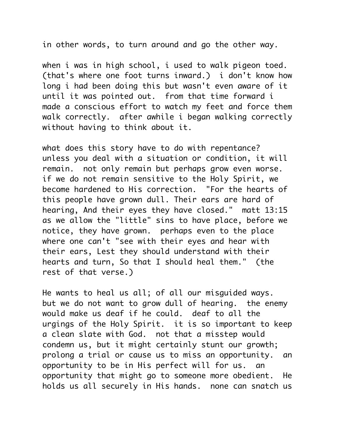in other words, to turn around and go the other way.

when i was in high school, i used to walk pigeon toed. (that's where one foot turns inward.) i don't know how long i had been doing this but wasn't even aware of it until it was pointed out. from that time forward i made a conscious effort to watch my feet and force them walk correctly. after awhile i began walking correctly without having to think about it.

what does this story have to do with repentance? unless you deal with a situation or condition, it will remain. not only remain but perhaps grow even worse. if we do not remain sensitive to the Holy Spirit, we become hardened to His correction. "For the hearts of this people have grown dull. Their ears are hard of hearing, And their eyes they have closed." matt 13:15 as we allow the "little" sins to have place, before we notice, they have grown. perhaps even to the place where one can't "see with their eyes and hear with their ears, Lest they should understand with their hearts and turn, So that I should heal them." (the rest of that verse.)

He wants to heal us all; of all our misguided ways. but we do not want to grow dull of hearing. the enemy would make us deaf if he could. deaf to all the urgings of the Holy Spirit. it is so important to keep a clean slate with God. not that a misstep would condemn us, but it might certainly stunt our growth; prolong a trial or cause us to miss an opportunity. an opportunity to be in His perfect will for us. an opportunity that might go to someone more obedient. He holds us all securely in His hands. none can snatch us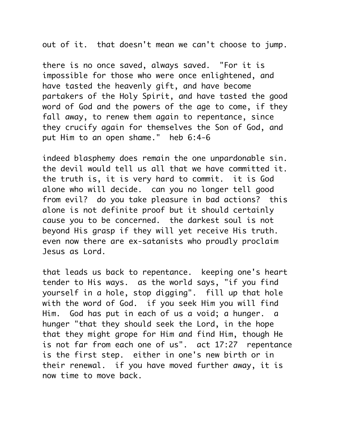out of it. that doesn't mean we can't choose to jump.

there is no once saved, always saved. "For it is impossible for those who were once enlightened, and have tasted the heavenly gift, and have become partakers of the Holy Spirit, and have tasted the good word of God and the powers of the age to come, if they fall away, to renew them again to repentance, since they crucify again for themselves the Son of God, and put Him to an open shame." heb 6:4-6

indeed blasphemy does remain the one unpardonable sin. the devil would tell us all that we have committed it. the truth is, it is very hard to commit. it is God alone who will decide. can you no longer tell good from evil? do you take pleasure in bad actions? this alone is not definite proof but it should certainly cause you to be concerned. the darkest soul is not beyond His grasp if they will yet receive His truth. even now there are ex-satanists who proudly proclaim Jesus as Lord.

that leads us back to repentance. keeping one's heart tender to His ways. as the world says, "if you find yourself in a hole, stop digging". fill up that hole with the word of God. if you seek Him you will find Him. God has put in each of us a void; a hunger. a hunger "that they should seek the Lord, in the hope that they might grope for Him and find Him, though He is not far from each one of us". act 17:27 repentance is the first step. either in one's new birth or in their renewal. if you have moved further away, it is now time to move back.